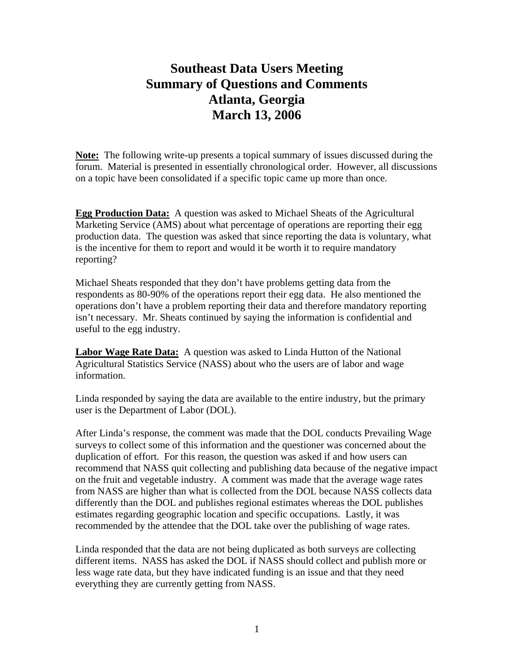## **Southeast Data Users Meeting Summary of Questions and Comments Atlanta, Georgia March 13, 2006**

**Note:** The following write-up presents a topical summary of issues discussed during the forum. Material is presented in essentially chronological order. However, all discussions on a topic have been consolidated if a specific topic came up more than once.

**Egg Production Data:** A question was asked to Michael Sheats of the Agricultural Marketing Service (AMS) about what percentage of operations are reporting their egg production data. The question was asked that since reporting the data is voluntary, what is the incentive for them to report and would it be worth it to require mandatory reporting?

Michael Sheats responded that they don't have problems getting data from the respondents as 80-90% of the operations report their egg data. He also mentioned the operations don't have a problem reporting their data and therefore mandatory reporting isn't necessary. Mr. Sheats continued by saying the information is confidential and useful to the egg industry.

**Labor Wage Rate Data:** A question was asked to Linda Hutton of the National Agricultural Statistics Service (NASS) about who the users are of labor and wage information.

Linda responded by saying the data are available to the entire industry, but the primary user is the Department of Labor (DOL).

After Linda's response, the comment was made that the DOL conducts Prevailing Wage surveys to collect some of this information and the questioner was concerned about the duplication of effort. For this reason, the question was asked if and how users can recommend that NASS quit collecting and publishing data because of the negative impact on the fruit and vegetable industry. A comment was made that the average wage rates from NASS are higher than what is collected from the DOL because NASS collects data differently than the DOL and publishes regional estimates whereas the DOL publishes estimates regarding geographic location and specific occupations. Lastly, it was recommended by the attendee that the DOL take over the publishing of wage rates.

Linda responded that the data are not being duplicated as both surveys are collecting different items. NASS has asked the DOL if NASS should collect and publish more or less wage rate data, but they have indicated funding is an issue and that they need everything they are currently getting from NASS.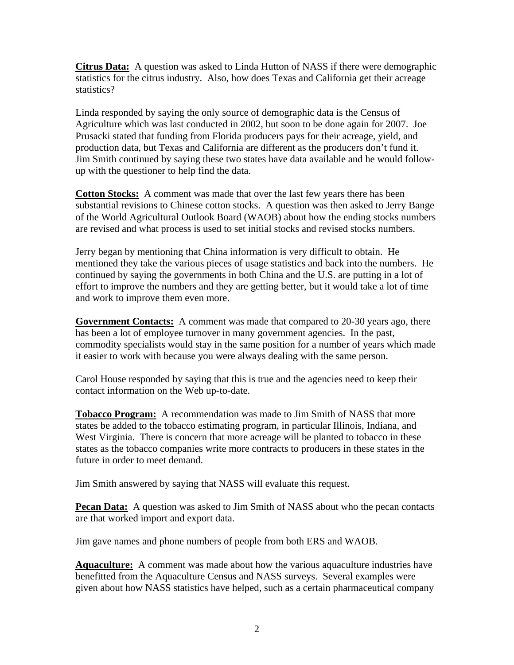**Citrus Data:** A question was asked to Linda Hutton of NASS if there were demographic statistics for the citrus industry. Also, how does Texas and California get their acreage statistics?

Linda responded by saying the only source of demographic data is the Census of Agriculture which was last conducted in 2002, but soon to be done again for 2007. Joe Prusacki stated that funding from Florida producers pays for their acreage, yield, and production data, but Texas and California are different as the producers don't fund it. Jim Smith continued by saying these two states have data available and he would followup with the questioner to help find the data.

**Cotton Stocks:** A comment was made that over the last few years there has been substantial revisions to Chinese cotton stocks. A question was then asked to Jerry Bange of the World Agricultural Outlook Board (WAOB) about how the ending stocks numbers are revised and what process is used to set initial stocks and revised stocks numbers.

Jerry began by mentioning that China information is very difficult to obtain. He mentioned they take the various pieces of usage statistics and back into the numbers. He continued by saying the governments in both China and the U.S. are putting in a lot of effort to improve the numbers and they are getting better, but it would take a lot of time and work to improve them even more.

**Government Contacts:** A comment was made that compared to 20-30 years ago, there has been a lot of employee turnover in many government agencies. In the past, commodity specialists would stay in the same position for a number of years which made it easier to work with because you were always dealing with the same person.

Carol House responded by saying that this is true and the agencies need to keep their contact information on the Web up-to-date.

**Tobacco Program:** A recommendation was made to Jim Smith of NASS that more states be added to the tobacco estimating program, in particular Illinois, Indiana, and West Virginia. There is concern that more acreage will be planted to tobacco in these states as the tobacco companies write more contracts to producers in these states in the future in order to meet demand.

Jim Smith answered by saying that NASS will evaluate this request.

**Pecan Data:** A question was asked to Jim Smith of NASS about who the pecan contacts are that worked import and export data.

Jim gave names and phone numbers of people from both ERS and WAOB.

**Aquaculture:** A comment was made about how the various aquaculture industries have benefitted from the Aquaculture Census and NASS surveys. Several examples were given about how NASS statistics have helped, such as a certain pharmaceutical company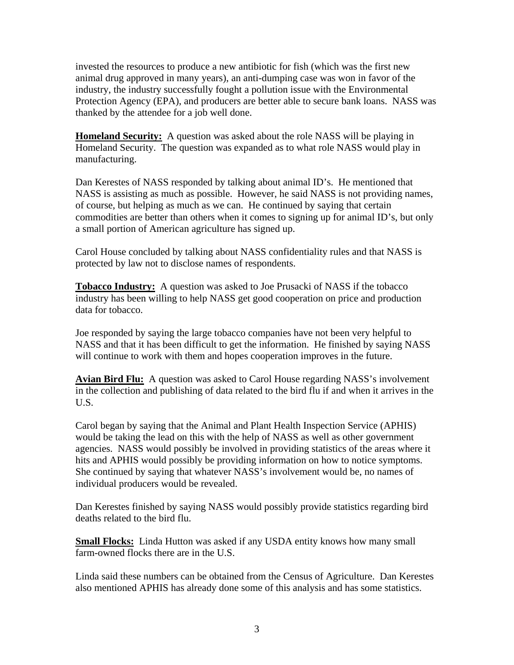invested the resources to produce a new antibiotic for fish (which was the first new animal drug approved in many years), an anti-dumping case was won in favor of the industry, the industry successfully fought a pollution issue with the Environmental Protection Agency (EPA), and producers are better able to secure bank loans. NASS was thanked by the attendee for a job well done.

**Homeland Security:** A question was asked about the role NASS will be playing in Homeland Security. The question was expanded as to what role NASS would play in manufacturing.

Dan Kerestes of NASS responded by talking about animal ID's. He mentioned that NASS is assisting as much as possible. However, he said NASS is not providing names, of course, but helping as much as we can. He continued by saying that certain commodities are better than others when it comes to signing up for animal ID's, but only a small portion of American agriculture has signed up.

Carol House concluded by talking about NASS confidentiality rules and that NASS is protected by law not to disclose names of respondents.

**Tobacco Industry:** A question was asked to Joe Prusacki of NASS if the tobacco industry has been willing to help NASS get good cooperation on price and production data for tobacco.

Joe responded by saying the large tobacco companies have not been very helpful to NASS and that it has been difficult to get the information. He finished by saying NASS will continue to work with them and hopes cooperation improves in the future.

**Avian Bird Flu:** A question was asked to Carol House regarding NASS's involvement in the collection and publishing of data related to the bird flu if and when it arrives in the U.S.

Carol began by saying that the Animal and Plant Health Inspection Service (APHIS) would be taking the lead on this with the help of NASS as well as other government agencies. NASS would possibly be involved in providing statistics of the areas where it hits and APHIS would possibly be providing information on how to notice symptoms. She continued by saying that whatever NASS's involvement would be, no names of individual producers would be revealed.

Dan Kerestes finished by saying NASS would possibly provide statistics regarding bird deaths related to the bird flu.

**Small Flocks:** Linda Hutton was asked if any USDA entity knows how many small farm-owned flocks there are in the U.S.

Linda said these numbers can be obtained from the Census of Agriculture. Dan Kerestes also mentioned APHIS has already done some of this analysis and has some statistics.